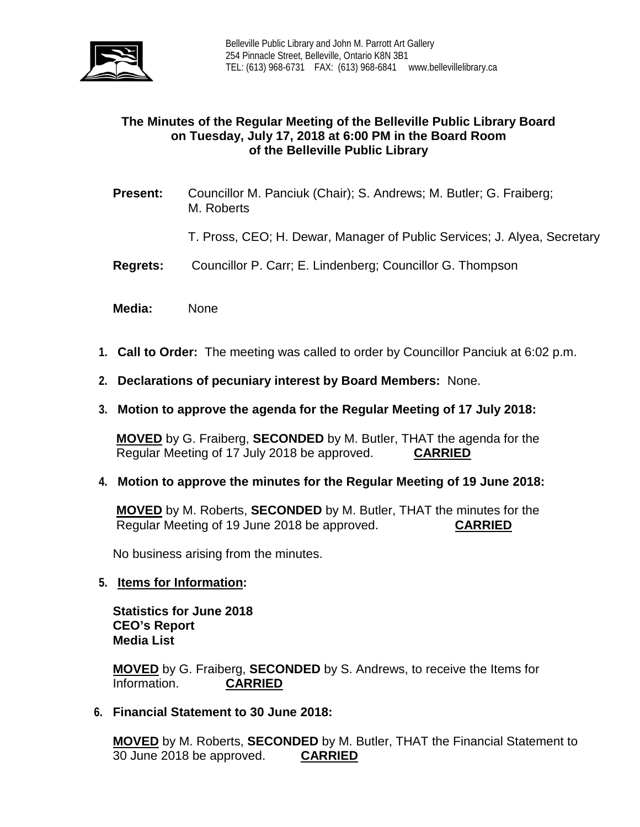

# **The Minutes of the Regular Meeting of the Belleville Public Library Board on Tuesday, July 17, 2018 at 6:00 PM in the Board Room of the Belleville Public Library**

- **Present:** Councillor M. Panciuk (Chair); S. Andrews; M. Butler; G. Fraiberg; M. Roberts
	- T. Pross, CEO; H. Dewar, Manager of Public Services; J. Alyea, Secretary
- **Regrets:** Councillor P. Carr; E. Lindenberg; Councillor G. Thompson
- **Media:** None
- **1. Call to Order:** The meeting was called to order by Councillor Panciuk at 6:02 p.m.
- **2. Declarations of pecuniary interest by Board Members:** None.
- **3. Motion to approve the agenda for the Regular Meeting of 17 July 2018:**

**MOVED** by G. Fraiberg, **SECONDED** by M. Butler, THAT the agenda for the Regular Meeting of 17 July 2018 be approved. **CARRIED**

**4. Motion to approve the minutes for the Regular Meeting of 19 June 2018:**

**MOVED** by M. Roberts, **SECONDED** by M. Butler, THAT the minutes for the Regular Meeting of 19 June 2018 be approved. **CARRIED**

No business arising from the minutes.

### **5. Items for Information:**

**Statistics for June 2018 CEO's Report Media List**

**MOVED** by G. Fraiberg, **SECONDED** by S. Andrews, to receive the Items for Information.

**6. Financial Statement to 30 June 2018:**

**MOVED** by M. Roberts, **SECONDED** by M. Butler, THAT the Financial Statement to 30 June 2018 be approved. **CARRIED**